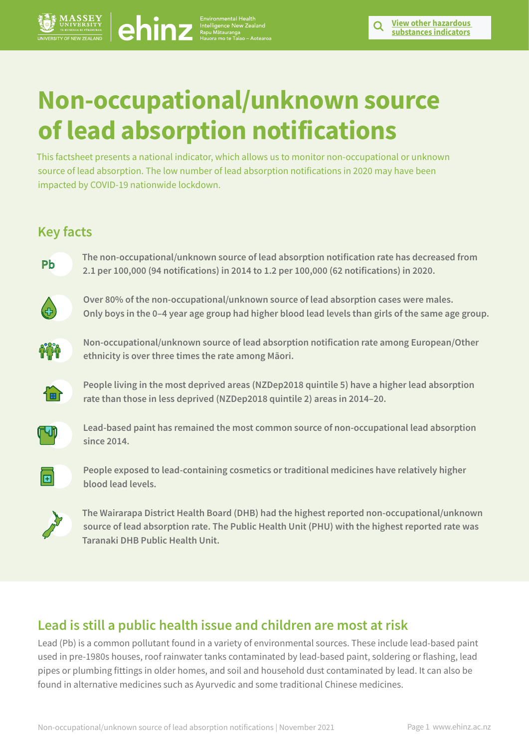# **Non-occupational/unknown source of lead absorption notifications** <p><b>EXAMPLE 1</b></p>\n<p><b>Non-occugational form algorithm</b></p>\n<p><b>Non-occugational form algorithm</b></p>\n<p><b>Non-ordered algorithm</b></p>\n<p><b>Non-ordered algorithm</b></p>\n<p><b>Non-ordered algorithm</b></p>\n<p><b>Non-ordered algorithm</b></p>\n<p><b>Non-ordered algorithm</b></p>\n<p><b>Non-ordered algorithm</b></p>\n<p><b>Non-ordered algorithm</b></p>\n<p><b>Non-ordered algorithm</b></p>\n<p><b>Non-ordered algorithm</b></p>\n<p><b>Non-ordered algorithm</b></p>\n<p><b>Non-ordered algorithm</b></p>\n<p><b>Non-

This factsheet presents a national indicator, which allows us to monitor non-occupational or unknown source of lead absorption. The low number of lead absorption notifications in 2020 may have been impacted by COVID-19 nationwide lockdown.

## **Key facts**



**The non-occupational/unknown source of lead absorption notification rate has decreased from 2.1 per 100,000 (94 notifications) in 2014 to 1.2 per 100,000 (62 notifications) in 2020.** 



**Over 80% of the non-occupational/unknown source of lead absorption cases were males. Only boys in the 0–4 year age group had higher blood lead levels than girls of the same age group.** 



**Non-occupational/unknown source of lead absorption notification rate among European/Other ethnicity is over three times the rate among Māori.**



**People living in the most deprived areas (NZDep2018 quintile 5) have a higher lead absorption rate than those in less deprived (NZDep2018 quintile 2) areas in 2014–20.** 



**Lead-based paint has remained the most common source of non-occupational lead absorption since 2014.** 



**People exposed to lead-containing cosmetics or traditional medicines have relatively higher blood lead levels.** 



**The Wairarapa District Health Board (DHB) had the highest reported non-occupational/unknown source of lead absorption rate. The Public Health Unit (PHU) with the highest reported rate was Taranaki DHB Public Health Unit.** 

## **Lead is still a public health issue and children are most at risk**

Lead (Pb) is a common pollutant found in a variety of environmental sources. These include lead-based paint used in pre-1980s houses, roof rainwater tanks contaminated by lead-based paint, soldering or flashing, lead pipes or plumbing fittings in older homes, and soil and household dust contaminated by lead. It can also be found in alternative medicines such as Ayurvedic and some traditional Chinese medicines.

**substances indicators**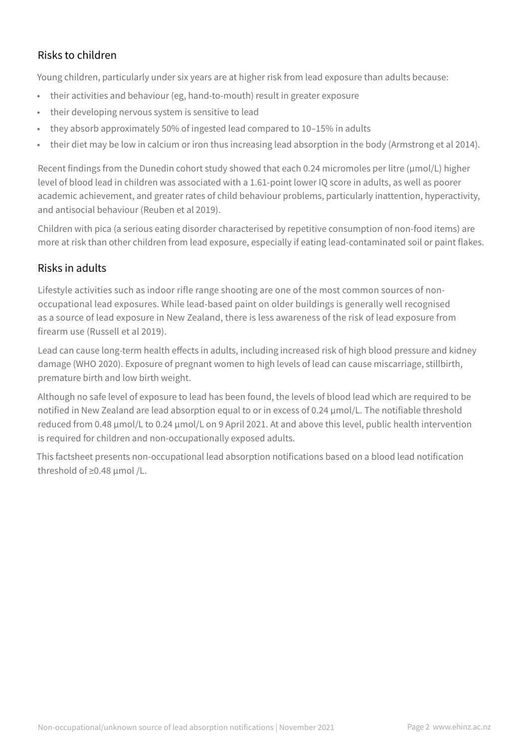## Risks to children

Young children, particularly under six years are at higher risk from lead exposure than adults because:

- their activities and behaviour (eg, hand-to-mouth) result in greater exposure
- their developing nervous system is sensitive to lead
- they absorb approximately 50% of ingested lead compared to 10–15% in adults
- their diet may be low in calcium or iron thus increasing lead absorption in the body (Armstrong et al 2014).

Recent findings from the Dunedin cohort study showed that each 0.24 micromoles per litre (µmol/L) higher level of blood lead in children was associated with a 1.61-point lower IQ score in adults, as well as poorer academic achievement, and greater rates of child behaviour problems, particularly inattention, hyperactivity, and antisocial behaviour (Reuben et al 2019).

Children with pica (a serious eating disorder characterised by repetitive consumption of non-food items) are more at risk than other children from lead exposure, especially if eating lead-contaminated soil or paint flakes.

## Risks in adults

Lifestyle activities such as indoor rifle range shooting are one of the most common sources of nonoccupational lead exposures. While lead-based paint on older buildings is generally well recognised as a source of lead exposure in New Zealand, there is less awareness of the risk of lead exposure from firearm use (Russell et al 2019).

Lead can cause long-term health effects in adults, including increased risk of high blood pressure and kidney damage (WHO 2020). Exposure of pregnant women to high levels of lead can cause miscarriage, stillbirth, premature birth and low birth weight.

Although no safe level of exposure to lead has been found, the levels of blood lead which are required to be notified in New Zealand are lead absorption equal to or in excess of 0.24 µmol/L. The notifiable threshold reduced from 0.48 µmol/L to 0.24 µmol/L on 9 April 2021. At and above this level, public health intervention is required for children and non-occupationally exposed adults.

This factsheet presents non-occupational lead absorption notifications based on a blood lead notification threshold of ≥0.48 µmol /L.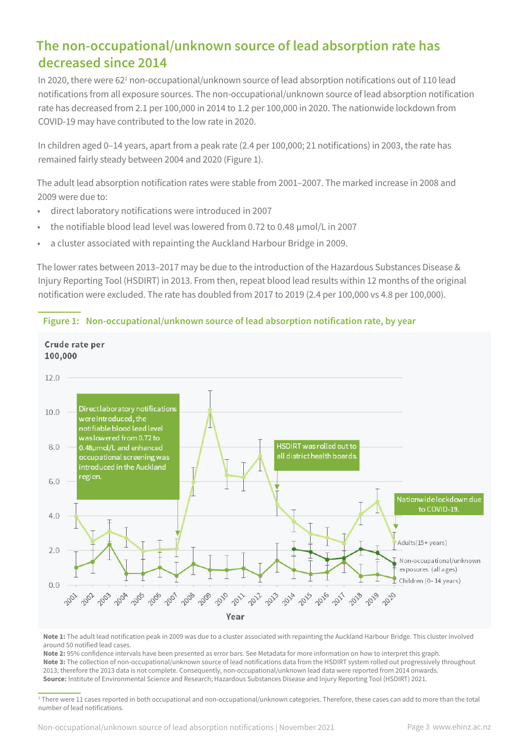## **The non-occupational/unknown source of lead absorption rate has decreased since 2014**

In 2020, there were 62<sup>1</sup> non-occupational/unknown source of lead absorption notifications out of 110 lead notifications from all exposure sources. The non-occupational/unknown source of lead absorption notification rate has decreased from 2.1 per 100,000 in 2014 to 1.2 per 100,000 in 2020. The nationwide lockdown from COVID-19 may have contributed to the low rate in 2020.

In children aged 0–14 years, apart from a peak rate (2.4 per 100,000; 21 notifications) in 2003, the rate has remained fairly steady between 2004 and 2020 (Figure 1).

The adult lead absorption notification rates were stable from 2001–2007. The marked increase in 2008 and 2009 were due to:

- direct laboratory notifications were introduced in 2007
- the notifiable blood lead level was lowered from 0.72 to 0.48 µmol/L in 2007
- a cluster associated with repainting the Auckland Harbour Bridge in 2009.

The lower rates between 2013–2017 may be due to the introduction of the Hazardous Substances Disease & Injury Reporting Tool (HSDIRT) in 2013. From then, repeat blood lead results within 12 months of the original notification were excluded. The rate has doubled from 2017 to 2019 (2.4 per 100,000 vs 4.8 per 100,000).



#### **Figure 1: Non-occupational/unknown source of lead absorption notification rate, by year**

**Note 1:** The adult lead notification peak in 2009 was due to a cluster associated with repainting the Auckland Harbour Bridge. This cluster involved around 50 notified lead cases.

**Note 2:** 95% confidence intervals have been presented as error bars. See Metadata for more information on how to interpret this graph. **Note 3:** The collection of non-occupational/unknown source of lead notifications data from the HSDIRT system rolled out progressively throughout 2013; therefore the 2013 data is not complete. Consequently, non-occupational/unknown lead data were reported from 2014 onwards. **Source:** Institute of Environmental Science and Research; Hazardous Substances Disease and Injury Reporting Tool (HSDIRT) 2021.

<sup>1</sup> There were 11 cases reported in both occupational and non-occupational/unknown categories. Therefore, these cases can add to more than the total number of lead notifications.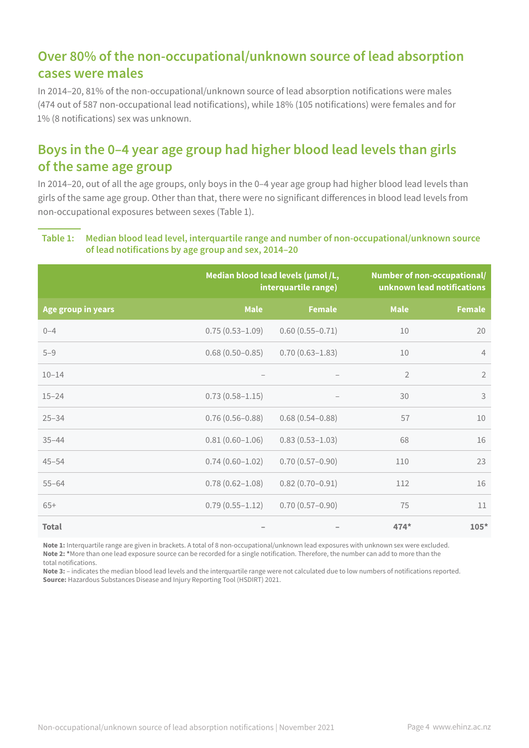## **Over 80% of the non-occupational/unknown source of lead absorption cases were males**

In 2014–20, 81% of the non-occupational/unknown source of lead absorption notifications were males (474 out of 587 non-occupational lead notifications), while 18% (105 notifications) were females and for 1% (8 notifications) sex was unknown.

# **Boys in the 0–4 year age group had higher blood lead levels than girls of the same age group**

In 2014–20, out of all the age groups, only boys in the 0–4 year age group had higher blood lead levels than girls of the same age group. Other than that, there were no significant differences in blood lead levels from non-occupational exposures between sexes (Table 1).

#### **Table 1: Median blood lead level, interquartile range and number of non-occupational/unknown source of lead notifications by age group and sex, 2014–20**

|                    | Median blood lead levels (umol/L,<br>interquartile range) |                     | Number of non-occupational/<br>unknown lead notifications |                |
|--------------------|-----------------------------------------------------------|---------------------|-----------------------------------------------------------|----------------|
| Age group in years | <b>Male</b>                                               | <b>Female</b>       | <b>Male</b>                                               | <b>Female</b>  |
| $0 - 4$            | $0.75(0.53 - 1.09)$                                       | $0.60(0.55 - 0.71)$ | 10                                                        | 20             |
| $5 - 9$            | $0.68(0.50 - 0.85)$                                       | $0.70(0.63 - 1.83)$ | 10                                                        | $\overline{4}$ |
| $10 - 14$          |                                                           |                     | $\overline{2}$                                            | $\overline{2}$ |
| $15 - 24$          | $0.73(0.58 - 1.15)$                                       |                     | 30                                                        | 3              |
| $25 - 34$          | $0.76(0.56 - 0.88)$                                       | $0.68(0.54 - 0.88)$ | 57                                                        | 10             |
| $35 - 44$          | $0.81(0.60 - 1.06)$                                       | $0.83(0.53 - 1.03)$ | 68                                                        | 16             |
| $45 - 54$          | $0.74(0.60 - 1.02)$                                       | $0.70(0.57 - 0.90)$ | 110                                                       | 23             |
| $55 - 64$          | $0.78(0.62 - 1.08)$                                       | $0.82(0.70 - 0.91)$ | 112                                                       | 16             |
| $65+$              | $0.79(0.55 - 1.12)$                                       | $0.70(0.57-0.90)$   | 75                                                        | 11             |
| <b>Total</b>       |                                                           |                     | $474*$                                                    | $105*$         |

**Note 1:** Interquartile range are given in brackets. A total of 8 non-occupational/unknown lead exposures with unknown sex were excluded. **Note 2: \***More than one lead exposure source can be recorded for a single notification. Therefore, the number can add to more than the total notifications.

**Note 3:** – indicates the median blood lead levels and the interquartile range were not calculated due to low numbers of notifications reported. **Source:** Hazardous Substances Disease and Injury Reporting Tool (HSDIRT) 2021.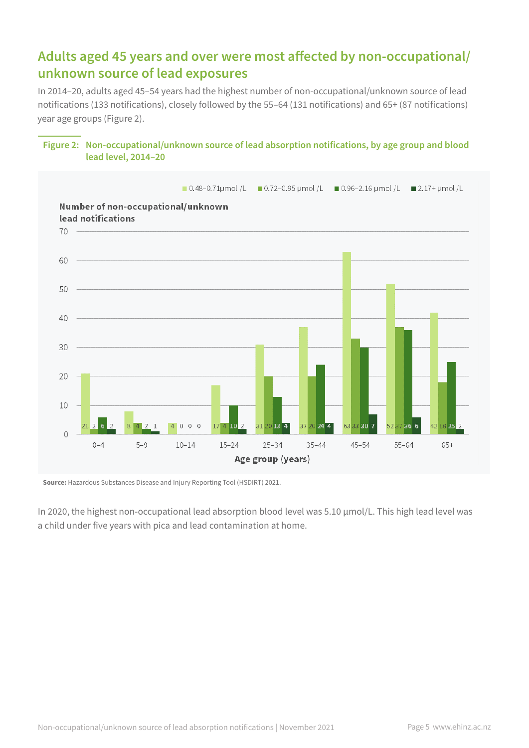## **Adults aged 45 years and over were most affected by non-occupational/ unknown source of lead exposures**

In 2014–20, adults aged 45–54 years had the highest number of non-occupational/unknown source of lead notifications (133 notifications), closely followed by the 55–64 (131 notifications) and 65+ (87 notifications) year age groups (Figure 2).



#### **Figure 2: Non-occupational/unknown source of lead absorption notifications, by age group and blood lead level, 2014–20**

**Source:** Hazardous Substances Disease and Injury Reporting Tool (HSDIRT) 2021.

In 2020, the highest non-occupational lead absorption blood level was 5.10 µmol/L. This high lead level was a child under five years with pica and lead contamination at home.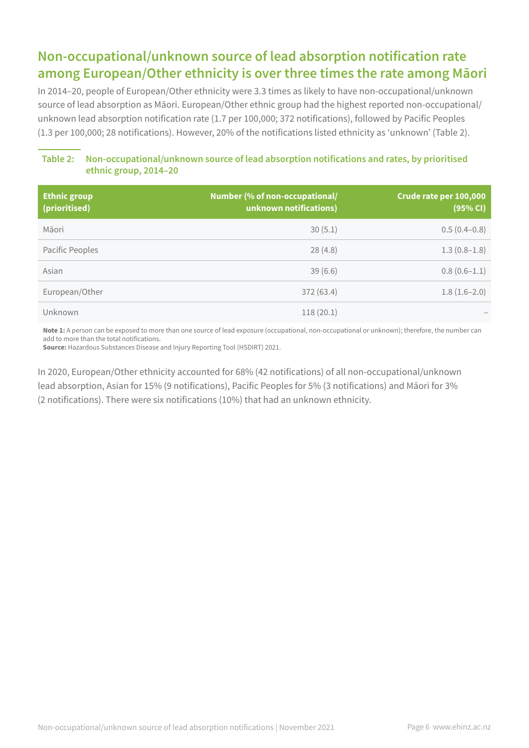# **Non-occupational/unknown source of lead absorption notification rate among European/Other ethnicity is over three times the rate among Māori**

In 2014–20, people of European/Other ethnicity were 3.3 times as likely to have non-occupational/unknown source of lead absorption as Māori. European/Other ethnic group had the highest reported non-occupational/ unknown lead absorption notification rate (1.7 per 100,000; 372 notifications), followed by Pacific Peoples (1.3 per 100,000; 28 notifications). However, 20% of the notifications listed ethnicity as 'unknown' (Table 2).

### **Table 2: Non-occupational/unknown source of lead absorption notifications and rates, by prioritised ethnic group, 2014–20**

| <b>Ethnic group</b><br>(prioritised) | Number (% of non-occupational/<br>unknown notifications) | Crude rate per 100,000<br>(95% CI) |
|--------------------------------------|----------------------------------------------------------|------------------------------------|
| Māori                                | 30(5.1)                                                  | $0.5(0.4-0.8)$                     |
| Pacific Peoples                      | 28(4.8)                                                  | $1.3(0.8-1.8)$                     |
| Asian                                | 39(6.6)                                                  | $0.8(0.6-1.1)$                     |
| European/Other                       | 372 (63.4)                                               | $1.8(1.6-2.0)$                     |
| Unknown                              | 118(20.1)                                                |                                    |

**Note 1:** A person can be exposed to more than one source of lead exposure (occupational, non-occupational or unknown); therefore, the number can add to more than the total notifications.

**Source:** Hazardous Substances Disease and Injury Reporting Tool (HSDIRT) 2021.

In 2020, European/Other ethnicity accounted for 68% (42 notifications) of all non-occupational/unknown lead absorption, Asian for 15% (9 notifications), Pacific Peoples for 5% (3 notifications) and Māori for 3% (2 notifications). There were six notifications (10%) that had an unknown ethnicity.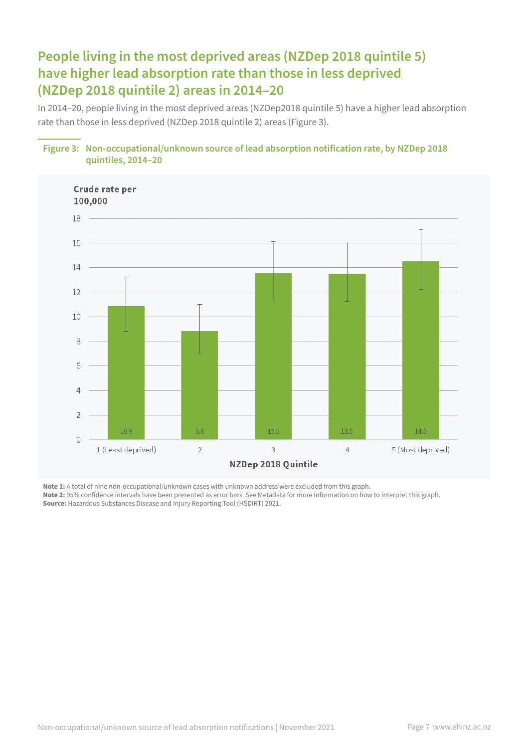# **People living in the most deprived areas (NZDep 2018 quintile 5) have higher lead absorption rate than those in less deprived (NZDep 2018 quintile 2) areas in 2014–20**

In 2014–20, people living in the most deprived areas (NZDep2018 quintile 5) have a higher lead absorption rate than those in less deprived (NZDep 2018 quintile 2) areas (Figure 3).





**Note 1:** A total of nine non-occupational/unknown cases with unknown address were excluded from this graph. **Note 2:** 95% confidence intervals have been presented as error bars. See Metadata for more information on how to interpret this graph. **Source:** Hazardous Substances Disease and Injury Reporting Tool (HSDIRT) 2021.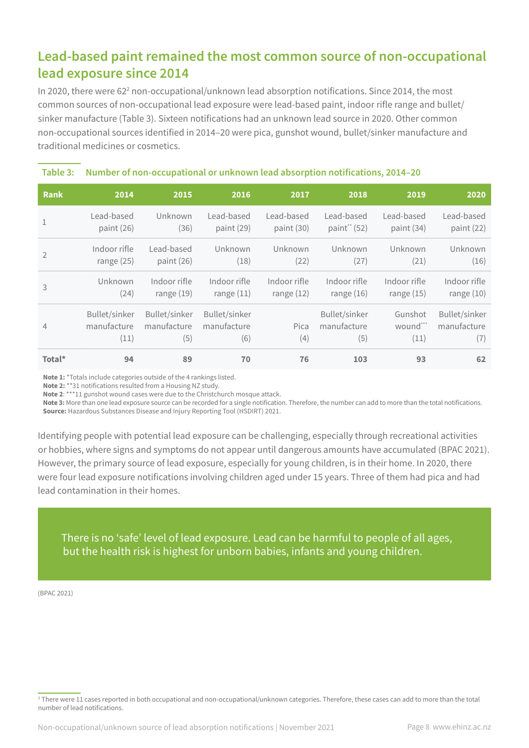## **Lead-based paint remained the most common source of non-occupational lead exposure since 2014**

In 2020, there were 62<sup>2</sup> non-occupational/unknown lead absorption notifications. Since 2014, the most common sources of non-occupational lead exposure were lead-based paint, indoor rifle range and bullet/ sinker manufacture (Table 3). Sixteen notifications had an unknown lead source in 2020. Other common non-occupational sources identified in 2014–20 were pica, gunshot wound, bullet/sinker manufacture and traditional medicines or cosmetics.

### **Table 3: Number of non-occupational or unknown lead absorption notifications, 2014–20**

| <b>Rank</b>    | 2014                                 | 2015                                | 2016                                | 2017         | 2018                                | 2019                        | 2020                                |
|----------------|--------------------------------------|-------------------------------------|-------------------------------------|--------------|-------------------------------------|-----------------------------|-------------------------------------|
| $\mathbf{1}$   | Lead-based                           | Unknown                             | Lead-based                          | Lead-based   | Lead-based                          | Lead-based                  | Lead-based                          |
|                | paint (26)                           | (36)                                | paint (29)                          | paint (30)   | paint" (52)                         | paint (34)                  | paint (22)                          |
| $\overline{2}$ | Indoor rifle                         | Lead-based                          | Unknown                             | Unknown      | Unknown                             | Unknown                     | Unknown                             |
|                | range $(25)$                         | paint (26)                          | (18)                                | (22)         | (27)                                | (21)                        | (16)                                |
| 3              | Unknown                              | Indoor rifle                        | Indoor rifle                        | Indoor rifle | Indoor rifle                        | Indoor rifle                | Indoor rifle                        |
|                | (24)                                 | range $(19)$                        | range $(11)$                        | range $(12)$ | range $(16)$                        | range $(15)$                | range $(10)$                        |
| $\overline{4}$ | Bullet/sinker<br>manufacture<br>(11) | Bullet/sinker<br>manufacture<br>(5) | Bullet/sinker<br>manufacture<br>(6) | Pica<br>(4)  | Bullet/sinker<br>manufacture<br>(5) | Gunshot<br>wound***<br>(11) | Bullet/sinker<br>manufacture<br>(7) |
| Total*         | 94                                   | 89                                  | 70                                  | 76           | 103                                 | 93                          | 62                                  |

**Note 1:** \*Totals include categories outside of the 4 rankings listed.

**Note 2:** \*\*31 notifications resulted from a Housing NZ study.

**Note 2**: \*\*\*11 gunshot wound cases were due to the Christchurch mosque attack.

**Note 3:** More than one lead exposure source can be recorded for a single notification. Therefore, the number can add to more than the total notifications. **Source:** Hazardous Substances Disease and Injury Reporting Tool (HSDIRT) 2021.

Identifying people with potential lead exposure can be challenging, especially through recreational activities or hobbies, where signs and symptoms do not appear until dangerous amounts have accumulated (BPAC 2021). However, the primary source of lead exposure, especially for young children, is in their home. In 2020, there were four lead exposure notifications involving children aged under 15 years. Three of them had pica and had lead contamination in their homes.

There is no 'safe' level of lead exposure. Lead can be harmful to people of all ages, but the health risk is highest for unborn babies, infants and young children.

(BPAC 2021)

<sup>2</sup> There were 11 cases reported in both occupational and non-occupational/unknown categories. Therefore, these cases can add to more than the total number of lead notifications.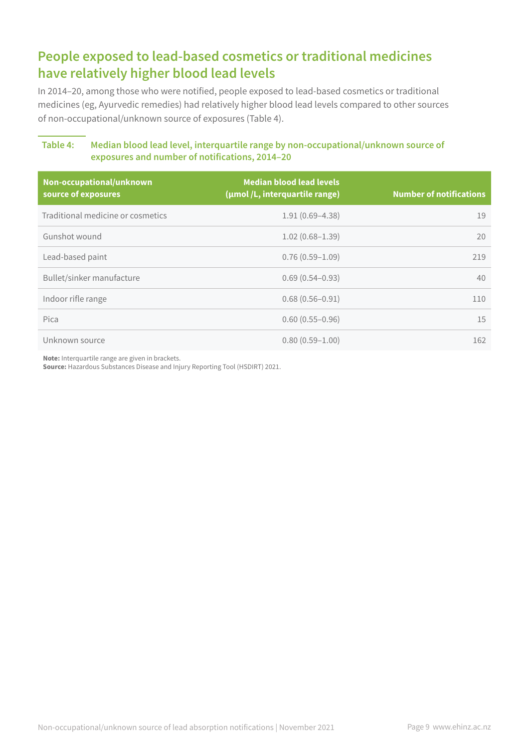# **People exposed to lead-based cosmetics or traditional medicines have relatively higher blood lead levels**

In 2014–20, among those who were notified, people exposed to lead-based cosmetics or traditional medicines (eg, Ayurvedic remedies) had relatively higher blood lead levels compared to other sources of non-occupational/unknown source of exposures (Table 4).

#### **Table 4: Median blood lead level, interquartile range by non-occupational/unknown source of exposures and number of notifications, 2014–20**

| Non-occupational/unknown<br>source of exposures | <b>Median blood lead levels</b><br>(umol/L, interquartile range) | <b>Number of notifications</b> |
|-------------------------------------------------|------------------------------------------------------------------|--------------------------------|
| Traditional medicine or cosmetics               | $1.91(0.69 - 4.38)$                                              | 19                             |
| Gunshot wound                                   | $1.02(0.68 - 1.39)$                                              | 20                             |
| Lead-based paint                                | $0.76(0.59 - 1.09)$                                              | 219                            |
| Bullet/sinker manufacture                       | $0.69(0.54 - 0.93)$                                              | 40                             |
| Indoor rifle range                              | $0.68(0.56 - 0.91)$                                              | 110                            |
| Pica                                            | $0.60(0.55 - 0.96)$                                              | 15                             |
| Unknown source                                  | $0.80(0.59 - 1.00)$                                              | 162                            |

**Note:** Interquartile range are given in brackets.

**Source:** Hazardous Substances Disease and Injury Reporting Tool (HSDIRT) 2021.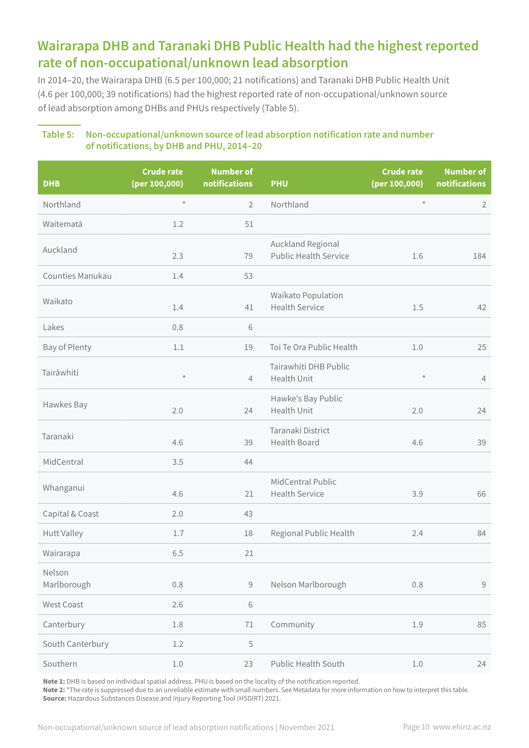## **Wairarapa DHB and Taranaki DHB Public Health had the highest reported rate of non-occupational/unknown lead absorption**

In 2014–20, the Wairarapa DHB (6.5 per 100,000; 21 notifications) and Taranaki DHB Public Health Unit (4.6 per 100,000; 39 notifications) had the highest reported rate of non-occupational/unknown source of lead absorption among DHBs and PHUs respectively (Table 5).

#### **Table 5: Non-occupational/unknown source of lead absorption notification rate and number of notifications, by DHB and PHU, 2014–20**

| <b>DHB</b>            | <b>Crude rate</b><br>(per 100,000) | <b>Number of</b><br>notifications | <b>PHU</b>                                        | <b>Crude rate</b><br>(per 100,000) | <b>Number of</b><br>notifications |
|-----------------------|------------------------------------|-----------------------------------|---------------------------------------------------|------------------------------------|-----------------------------------|
| Northland             | $\star$                            | $\overline{2}$                    | Northland                                         | $\star$                            | $\overline{2}$                    |
| Waitematā             | 1.2                                | 51                                |                                                   |                                    |                                   |
| Auckland              | 2.3                                | 79                                | Auckland Regional<br><b>Public Health Service</b> | 1.6                                | 184                               |
| Counties Manukau      | 1.4                                | 53                                |                                                   |                                    |                                   |
| Waikato               | 1.4                                | 41                                | Waikato Population<br><b>Health Service</b>       | 1.5                                | 42                                |
| Lakes                 | 0.8                                | 6                                 |                                                   |                                    |                                   |
| Bay of Plenty         | 1.1                                | 19                                | Toi Te Ora Public Health                          | 1.0                                | 25                                |
| Tairāwhiti            | $\star$                            | $\overline{4}$                    | Tairawhiti DHB Public<br>Health Unit              | $\star$                            | $\overline{4}$                    |
| Hawkes Bay            | 2.0                                | 24                                | Hawke's Bay Public<br><b>Health Unit</b>          | 2.0                                | 24                                |
| Taranaki              | 4.6                                | 39                                | Taranaki District<br><b>Health Board</b>          | 4.6                                | 39                                |
| MidCentral            | 3.5                                | 44                                |                                                   |                                    |                                   |
| Whanganui             | 4.6                                | 21                                | MidCentral Public<br><b>Health Service</b>        | 3.9                                | 66                                |
| Capital & Coast       | 2.0                                | 43                                |                                                   |                                    |                                   |
| <b>Hutt Valley</b>    | 1.7                                | 18                                | Regional Public Health                            | 2.4                                | 84                                |
| Wairarapa             | 6.5                                | 21                                |                                                   |                                    |                                   |
| Nelson<br>Marlborough | 0.8                                | $\mathcal G$                      | Nelson Marlborough                                | $0.8\,$                            | $\mathcal G$                      |
| West Coast            | 2.6                                | $\,$ $\,$ $\,$                    |                                                   |                                    |                                   |
| Canterbury            | 1.8                                | $71\,$                            | Community                                         | 1.9                                | 85                                |
| South Canterbury      | 1.2                                | 5                                 |                                                   |                                    |                                   |
| Southern              | 1.0                                | 23                                | <b>Public Health South</b>                        | $1.0\,$                            | 24                                |

**Note 1:** DHB is based on individual spatial address. PHU is based on the locality of the notification reported.

**Note 2:** \*The rate is suppressed due to an unreliable estimate with small numbers. See Metadata for more information on how to interpret this table. **Source:** Hazardous Substances Disease and Injury Reporting Tool (HSDIRT) 2021.